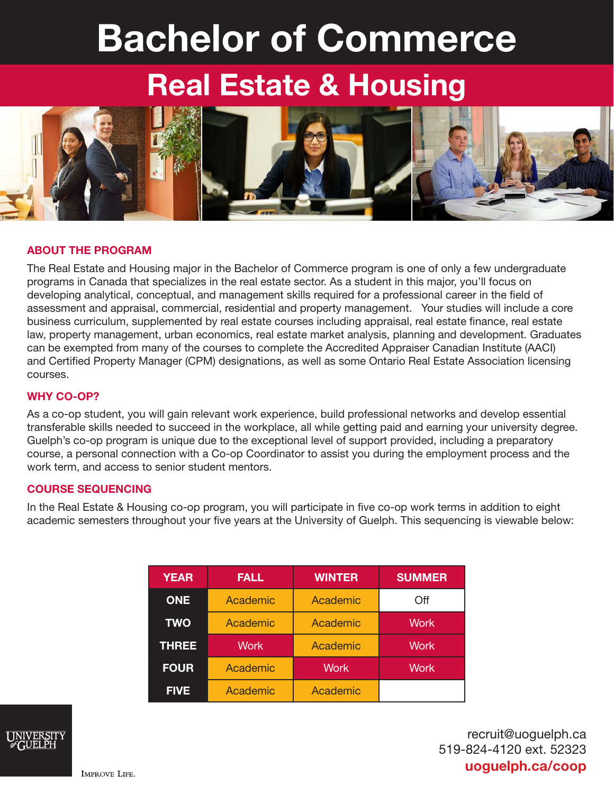# Bachelor of Commerce

## Real Estate & Housing



#### ABOUT THE PROGRAM

The Real Estate and Housing major in the Bachelor of Commerce program is one of only a few undergraduate programs in Canada that specializes in the real estate sector. As a student in this major, you'll focus on developing analytical, conceptual, and management skills required for a professional career in the field of assessment and appraisal, commercial, residential and property management. Your studies will include a core business curriculum, supplemented by real estate courses including appraisal, real estate finance, real estate law, property management, urban economics, real estate market analysis, planning and development. Graduates can be exempted from many of the courses to complete the Accredited Appraiser Canadian Institute (AACI) and Certified Property Manager (CPM) designations, as well as some Ontario Real Estate Association licensing courses.

#### WHY CO-OP?

As a co-op student, you will gain relevant work experience, build professional networks and develop essential transferable skills needed to succeed in the workplace, all while getting paid and earning your university degree. Guelph's co-op program is unique due to the exceptional level of support provided, including a preparatory course, a personal connection with a Co-op Coordinator to assist you during the employment process and the work term, and access to senior student mentors.

#### COURSE SEQUENCING

In the Real Estate & Housing co-op program, you will participate in five co-op work terms in addition to eight academic semesters throughout your five years at the University of Guelph. This sequencing is viewable below:

| <b>YEAR</b>  | <b>FALL</b> | <b>WINTER</b> | <b>SUMMER</b> |
|--------------|-------------|---------------|---------------|
| <b>ONE</b>   | Academic    | Academic      | Off           |
| <b>TWO</b>   | Academic    | Academic      | <b>Work</b>   |
| <b>THREE</b> | <b>Work</b> | Academic      | <b>Work</b>   |
| <b>FOUR</b>  | Academic    | <b>Work</b>   | <b>Work</b>   |
| <b>FIVE</b>  | Academic    | Academic      |               |



recruit@uoguelph.ca 519-824-4120 ext. 52323 uoguelph.ca/coop